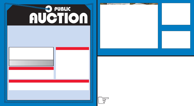# AUTOMOTIVE INTERIOR FABRICATING & ASSEMBLY FACILITY INCLUDING WELDING ROBOT, ASSEMBLY MACHINERY, SUPPORT & OFFICE EQUIPME Surplus To The Continuing Operations of

**PUBLIC** 

**AUCTION** 

FAURECIA AUTOMOTIVE SEATING

12209 Chandler Drive Ð Walton, Kentucky 41094 20 Miles South of Downtown Cincinnati Off I-71

SALE DATE TUESDAY, NOV. 23RD STARTING 10:00 AM

**CONSCIOUS DESCRIPTION OF READER** 

INSPECTION: Monday, Nov. 22nd From 10:00 AM to 4:00 PM

### AUCTIONEER

Jeffrey L. Luggen Ð License No. RP 7066 Jerome A. Luggen Ð License No. RP 7067

## TERMS OF SALE

All equipment described herein will be sold Òas isÓ, Òwhere isÓ to the highest bidder or bidders for cash in accordance with our regular terms and conditions of sale. Unless other satisfactory arrangements are mad25%<br>deposit in cash, certified or cashierÕs check payable to Cincinnati Industrial Auctioneers, Inc. is required on all purchases. Firm and personal checks accepted only if accompanied by a letter from your bank guaranteeing your funds. All sales are subject to state and/or local taxes unless a signed exemption form is presented at the time of purchase. All balances are due at the conclusion of the sale. No merchandise may be removed while the sale is in progress. All bidders must comply with our Standard Terms of Sale,copies of which will be available at the sale site or can be obtained from our website.

12% BUYERÕS PREMIUM

# **DIRECTIONS**

KY-1292 and proceed Approx. 1 mile to Chandler Drive. Turn Le<br>end of Chandler Dr. Watch for auction parking signs and arrows. From I-75 Approx. 25 Miles South of Downtown Just after the I-71 Split, Exit I-75 At No. 171 KY-14/16<br>Walton/Verona. Turn West at the end of the exit ramp and proceed to almost immediate right onto Beaver Ra. /<br>KY-1292 a

# Auctioneers Inc. Cincinnati Industrial Auctioneers Inc. Cincinnati Industrial Auctioneers Inc.

*EEEEEEEEEEEEEEEEEEEEEEEEEEEE* 

2020 DUNLAP ST., CINCINNATI, OHIO 45214 PHONE (513) 241-9701 / FAX (513) 241-6760 2020 DUNLAP ST., CINCINNATI, OHIO 45214 PHONE (513) 241-9701 / FAX (513) 241-6760 INTERNET: cia-auction.com INTERNET:cia-auction.com for printable brochures, catalog, terms and proxy-bidding

# Motoman Two-robot CNC Robotic Welding System

# FIRST CLASS MAIL!

24Ó Acu-Gage Systems Model AG24- 2-LM4 Optical Measuring Machine

Large Quantity Late Model Hon Office Furnture Including (30+) Desks, (50+) Files and (100+) Chairs

> PRE-SORT FIRST CLASS U.S. POSTAGE PAID CINCINNATI, OHIO PERMIT NO. 3593



Important Mail TO BE DIRECTED TO THE ATTENTION<br>OF EXECUTIVE PERSONNEL